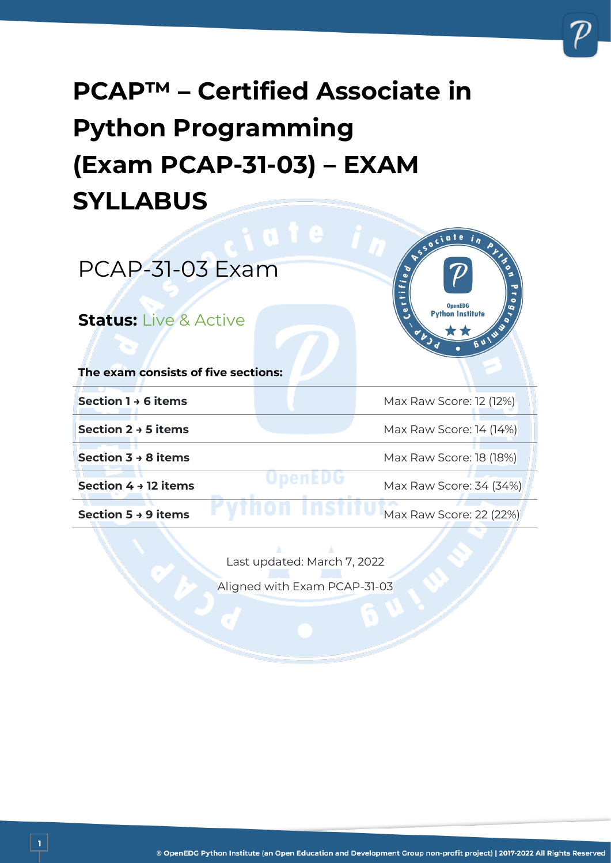# **PCAP™ – Certified Associate in Python Programming (Exam PCAP-31-03) – EXAM SYLLABUS**



Last updated: March 7, 2022

Aligned with Exam PCAP-31-03

**1**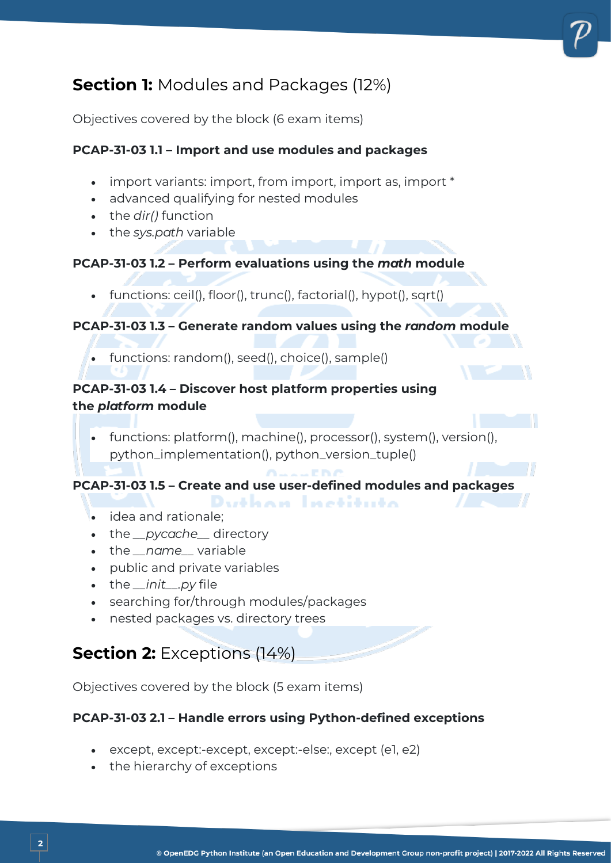## **Section 1:** Modules and Packages (12%)

Objectives covered by the block (6 exam items)

#### **PCAP-31-03 1.1 – Import and use modules and packages**

- import variants: import, from import, import as, import \*
- advanced qualifying for nested modules
- the *dir()* function
- the *sys.path* variable

#### **PCAP-31-03 1.2 – Perform evaluations using the** *math* **module**

• functions: ceil(), floor(), trunc(), factorial(), hypot(), sqrt()

#### **PCAP-31-03 1.3 – Generate random values using the** *random* **module**

• functions: random(), seed(), choice(), sample()

#### **PCAP-31-03 1.4 – Discover host platform properties using the** *platform* **module**

• functions: platform(), machine(), processor(), system(), version(), python\_implementation(), python\_version\_tuple()

#### **PCAP-31-03 1.5 – Create and use user-defined modules and packages**

- bakan Instituta • idea and rationale;
- the *\_\_pycache\_\_* directory
- the *\_\_name\_\_* variable
- public and private variables
- the *\_\_init\_\_.py* file
- searching for/through modules/packages
- nested packages vs. directory trees

## **Section 2:** Exceptions (14%)

Objectives covered by the block (5 exam items)

#### **PCAP-31-03 2.1 – Handle errors using Python-defined exceptions**

- except, except:-except, except:-else:, except (e1, e2)
- the hierarchy of exceptions

**2**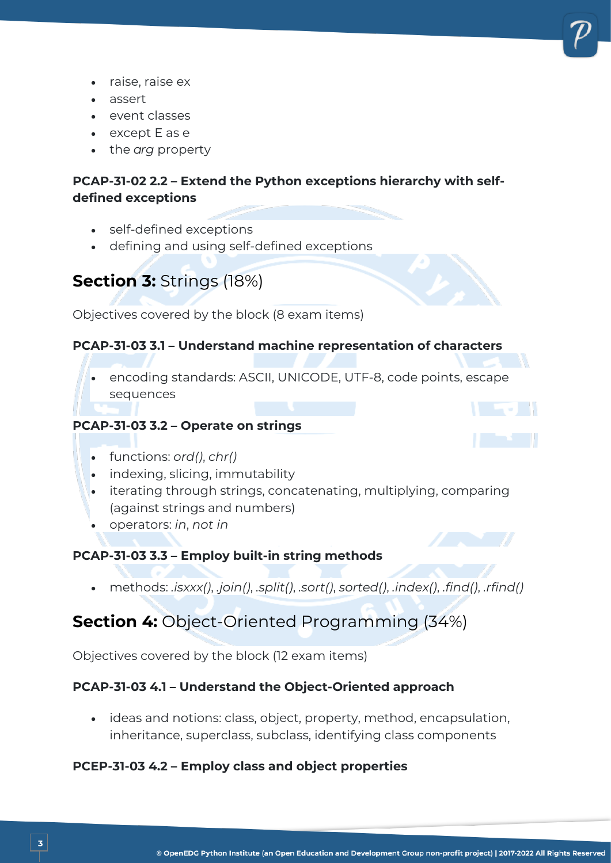

- raise, raise ex
- assert
- event classes
- except E as e
- the *arg* property

#### **PCAP-31-02 2.2 – Extend the Python exceptions hierarchy with selfdefined exceptions**

- self-defined exceptions
- defining and using self-defined exceptions

## **Section 3:** Strings (18%)

Objectives covered by the block (8 exam items)

#### **PCAP-31-03 3.1 – Understand machine representation of characters**

• encoding standards: ASCII, UNICODE, UTF-8, code points, escape sequences

#### **PCAP-31-03 3.2 – Operate on strings**



- functions: *ord()*, *chr()*
- indexing, slicing, immutability
- iterating through strings, concatenating, multiplying, comparing (against strings and numbers)
- operators: *in*, *not in*

**3**

#### **PCAP-31-03 3.3 – Employ built-in string methods**

• methods: *.isxxx()*, *.join()*, *.split()*, *.sort()*, *sorted()*, *.index()*, *.find()*, *.rfind()*

## **Section 4:** Object-Oriented Programming (34%)

Objectives covered by the block (12 exam items)

#### **PCAP-31-03 4.1 – Understand the Object-Oriented approach**

• ideas and notions: class, object, property, method, encapsulation, inheritance, superclass, subclass, identifying class components

#### **PCEP-31-03 4.2 – Employ class and object properties**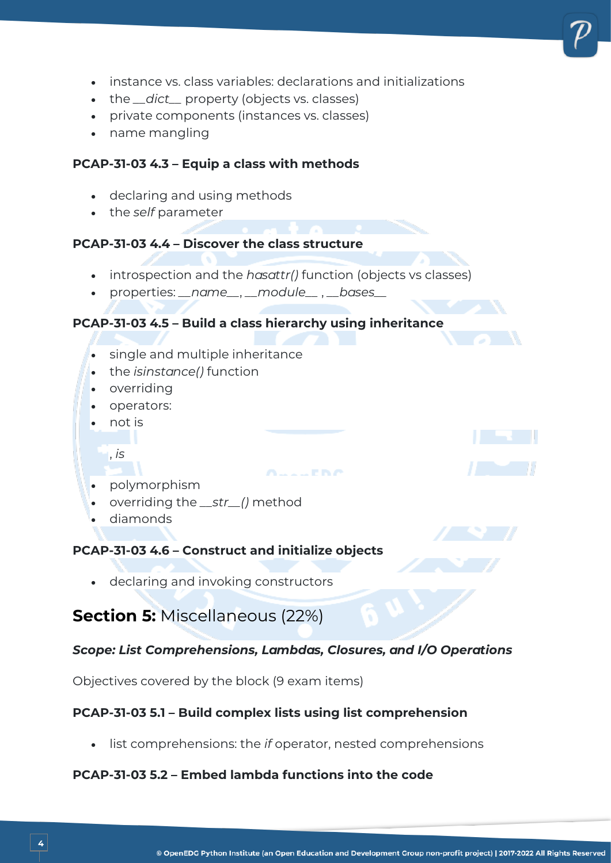- instance vs. class variables: declarations and initializations
- the *\_\_dict\_\_* property (objects vs. classes)
- private components (instances vs. classes)
- name mangling

#### **PCAP-31-03 4.3 – Equip a class with methods**

- declaring and using methods
- the *self* parameter

#### **PCAP-31-03 4.4 – Discover the class structure**

- introspection and the *hasattr()* function (objects vs classes)
- properties: *\_\_name\_\_*, *\_\_module\_\_* , *\_\_bases\_\_*

#### **PCAP-31-03 4.5 – Build a class hierarchy using inheritance**

- single and multiple inheritance
- the *isinstance()* function
- overriding
- operators:
- not is
	- , *is*
- polymorphism
- overriding the *\_\_str\_\_()* method
- diamonds

#### **PCAP-31-03 4.6 – Construct and initialize objects**

• declaring and invoking constructors

## **Section 5:** Miscellaneous (22%)

#### *Scope: List Comprehensions, Lambdas, Closures, and I/O Operations*

**COPINA** 

Objectives covered by the block (9 exam items)

#### **PCAP-31-03 5.1 – Build complex lists using list comprehension**

• list comprehensions: the *if* operator, nested comprehensions

#### **PCAP-31-03 5.2 – Embed lambda functions into the code**